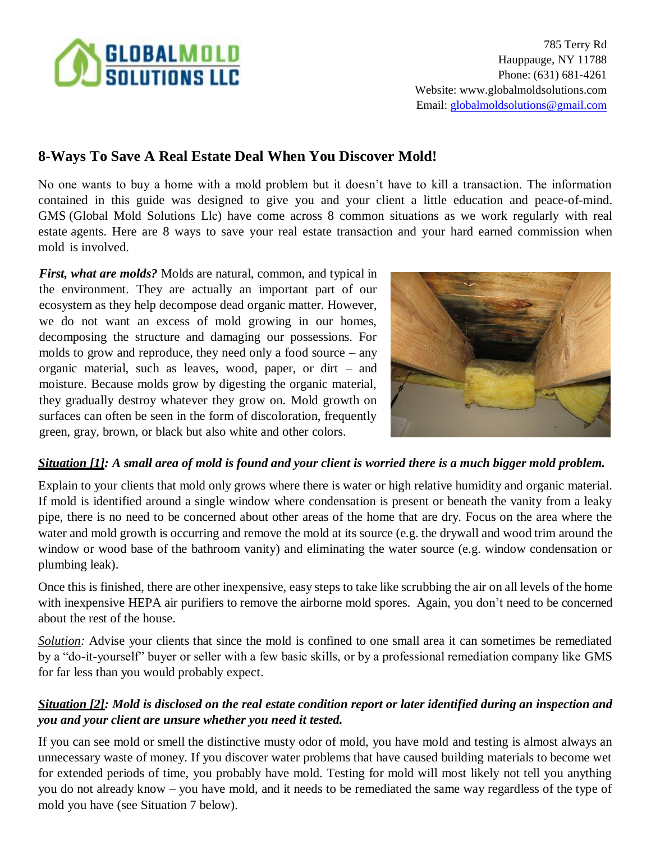# **SELOBALMOLD**<br>SOLUTIONS LLC

785 Terry Rd Hauppauge, NY 11788 Phone: (631) 681-4261 Website: [www.globalmoldsolutions.com](http://www.globalmoldsolutions.com/)  Email: globalmoldsolutions@gmail.com

# **8-Ways To Save A Real Estate Deal When You Discover Mold!**

No one wants to buy a home with a mold problem but it doesn't have to kill a transaction. The information contained in this guide was designed to give you and your client a little education and peace-of-mind. GMS (Global Mold Solutions Llc) have come across 8 common situations as we work regularly with real estate agents. Here are 8 ways to save your real estate transaction and your hard earned commission when mold is involved.

*First, what are molds?* Molds are natural, common, and typical in the environment. They are actually an important part of our ecosystem as they help decompose dead organic matter. However, we do not want an excess of mold growing in our homes, decomposing the structure and damaging our possessions. For molds to grow and reproduce, they need only a food source – any organic material, such as leaves, wood, paper, or dirt – and moisture. Because molds grow by digesting the organic material, they gradually destroy whatever they grow on. Mold growth on surfaces can often be seen in the form of discoloration, frequently green, gray, brown, or black but also white and other colors.



### *Situation [1]: A small area of mold is found and your client is worried there is a much bigger mold problem.*

Explain to your clients that mold only grows where there is water or high relative humidity and organic material. If mold is identified around a single window where condensation is present or beneath the vanity from a leaky pipe, there is no need to be concerned about other areas of the home that are dry. Focus on the area where the water and mold growth is occurring and remove the mold at its source (e.g. the drywall and wood trim around the window or wood base of the bathroom vanity) and eliminating the water source (e.g. window condensation or plumbing leak).

Once this is finished, there are other inexpensive, easy steps to take like scrubbing the air on all levels of the home with inexpensive HEPA air purifiers to remove the airborne mold spores. Again, you don't need to be concerned about the rest of the house.

*Solution:* Advise your clients that since the mold is confined to one small area it can sometimes be remediated by a "do-it-yourself" buyer or seller with a few basic skills, or by a professional remediation company like GMS for far less than you would probably expect.

### *Situation [2]: Mold is disclosed on the real estate condition report or later identified during an inspection and you and your client are unsure whether you need it tested.*

If you can see mold or smell the distinctive musty odor of mold, you have mold and testing is almost always an unnecessary waste of money. If you discover water problems that have caused building materials to become wet for extended periods of time, you probably have mold. Testing for mold will most likely not tell you anything you do not already know – you have mold, and it needs to be remediated the same way regardless of the type of mold you have (see Situation 7 below).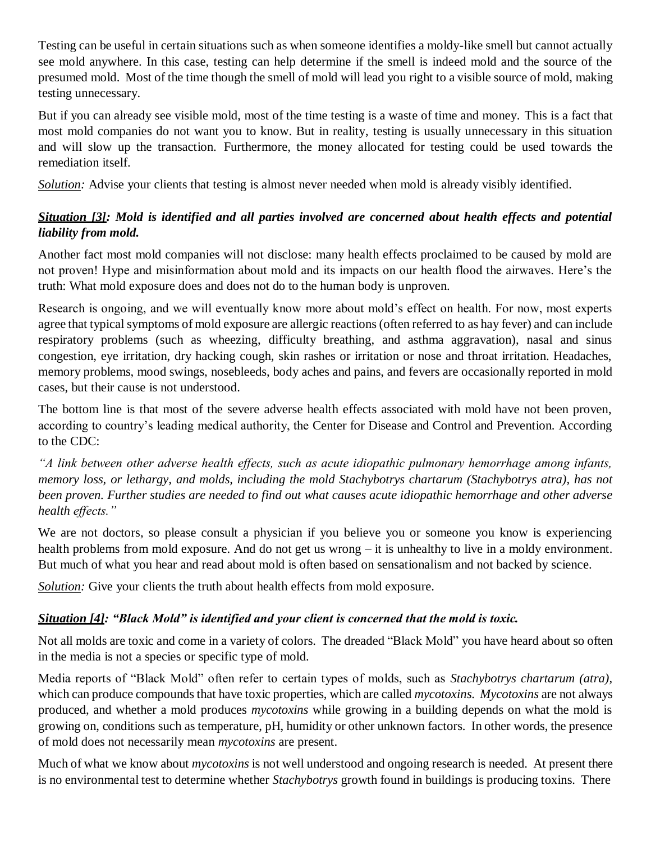Testing can be useful in certain situations such as when someone identifies a moldy-like smell but cannot actually see mold anywhere. In this case, testing can help determine if the smell is indeed mold and the source of the presumed mold. Most of the time though the smell of mold will lead you right to a visible source of mold, making testing unnecessary.

But if you can already see visible mold, most of the time testing is a waste of time and money. This is a fact that most mold companies do not want you to know. But in reality, testing is usually unnecessary in this situation and will slow up the transaction. Furthermore, the money allocated for testing could be used towards the remediation itself.

*Solution:* Advise your clients that testing is almost never needed when mold is already visibly identified.

## *Situation [3]: Mold is identified and all parties involved are concerned about health effects and potential liability from mold.*

Another fact most mold companies will not disclose: many health effects proclaimed to be caused by mold are not proven! Hype and misinformation about mold and its impacts on our health flood the airwaves. Here's the truth: What mold exposure does and does not do to the human body is unproven.

Research is ongoing, and we will eventually know more about mold's effect on health. For now, most experts agree that typical symptoms of mold exposure are allergic reactions (often referred to as hay fever) and can include respiratory problems (such as wheezing, difficulty breathing, and asthma aggravation), nasal and sinus congestion, eye irritation, dry hacking cough, skin rashes or irritation or nose and throat irritation. Headaches, memory problems, mood swings, nosebleeds, body aches and pains, and fevers are occasionally reported in mold cases, but their cause is not understood.

The bottom line is that most of the severe adverse health effects associated with mold have not been proven, according to country's leading medical authority, the Center for Disease and Control and Prevention. According to the CDC:

*"A link between other adverse health effects, such as acute idiopathic pulmonary hemorrhage among infants, memory loss, or lethargy, and molds, including the mold Stachybotrys chartarum (Stachybotrys atra), has not been proven. Further studies are needed to find out what causes acute idiopathic hemorrhage and other adverse health effects."*

We are not doctors, so please consult a physician if you believe you or someone you know is experiencing health problems from mold exposure. And do not get us wrong – it is unhealthy to live in a moldy environment. But much of what you hear and read about mold is often based on sensationalism and not backed by science.

*Solution:* Give your clients the truth about health effects from mold exposure.

### *Situation [4]: "Black Mold" is identified and your client is concerned that the mold is toxic.*

Not all molds are toxic and come in a variety of colors. The dreaded "Black Mold" you have heard about so often in the media is not a species or specific type of mold.

Media reports of "Black Mold" often refer to certain types of molds, such as *Stachybotrys chartarum (atra),*  which can produce compounds that have toxic properties, which are called *mycotoxins. Mycotoxins* are not always produced, and whether a mold produces *mycotoxins* while growing in a building depends on what the mold is growing on, conditions such as temperature, pH, humidity or other unknown factors. In other words, the presence of mold does not necessarily mean *mycotoxins* are present.

Much of what we know about *mycotoxins* is not well understood and ongoing research is needed. At present there is no environmental test to determine whether *Stachybotrys* growth found in buildings is producing toxins. There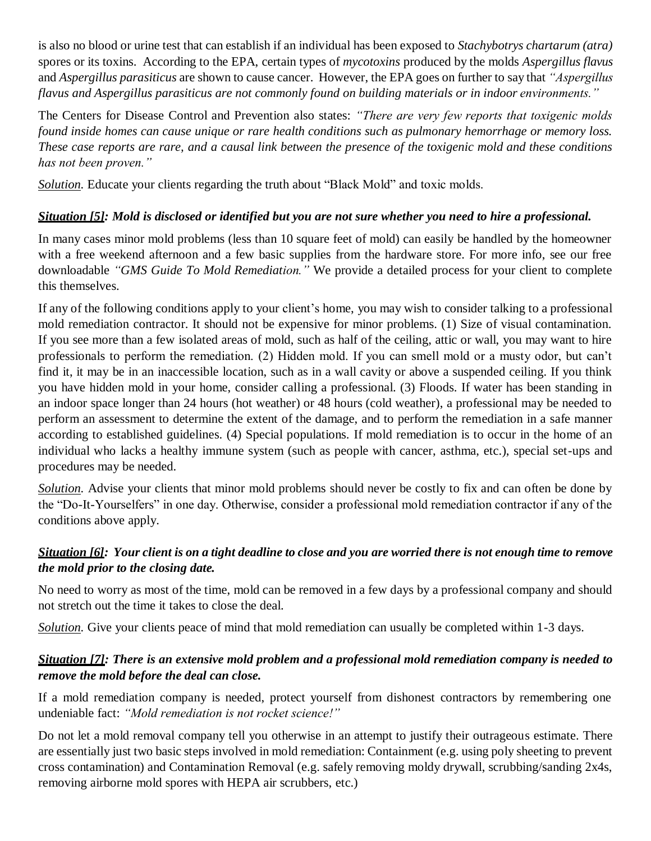is also no blood or urine test that can establish if an individual has been exposed to *Stachybotrys chartarum (atra)*  spores or its toxins. According to the EPA, certain types of *mycotoxins* produced by the molds *Aspergillus flavus*  and *Aspergillus parasiticus* are shown to cause cancer. However, the EPA goes on further to say that *"Aspergillus flavus and Aspergillus parasiticus are not commonly found on building materials or in indoor environments."*

The Centers for Disease Control and Prevention also states: *"There are very few reports that toxigenic molds found inside homes can cause unique or rare health conditions such as pulmonary hemorrhage or memory loss. These case reports are rare, and a causal link between the presence of the toxigenic mold and these conditions has not been proven."*

*Solution.* Educate your clients regarding the truth about "Black Mold" and toxic molds.

### *Situation [5]: Mold is disclosed or identified but you are not sure whether you need to hire a professional.*

In many cases minor mold problems (less than 10 square feet of mold) can easily be handled by the homeowner with a free weekend afternoon and a few basic supplies from the hardware store. For more info, see our free downloadable *"GMS Guide To Mold Remediation."* We provide a detailed process for your client to complete this themselves.

If any of the following conditions apply to your client's home, you may wish to consider talking to a professional mold remediation contractor. It should not be expensive for minor problems. (1) Size of visual contamination. If you see more than a few isolated areas of mold, such as half of the ceiling, attic or wall, you may want to hire professionals to perform the remediation. (2) Hidden mold. If you can smell mold or a musty odor, but can't find it, it may be in an inaccessible location, such as in a wall cavity or above a suspended ceiling. If you think you have hidden mold in your home, consider calling a professional. (3) Floods. If water has been standing in an indoor space longer than 24 hours (hot weather) or 48 hours (cold weather), a professional may be needed to perform an assessment to determine the extent of the damage, and to perform the remediation in a safe manner according to established guidelines. (4) Special populations. If mold remediation is to occur in the home of an individual who lacks a healthy immune system (such as people with cancer, asthma, etc.), special set-ups and procedures may be needed.

*Solution*. Advise your clients that minor mold problems should never be costly to fix and can often be done by the "Do-It-Yourselfers" in one day. Otherwise, consider a professional mold remediation contractor if any of the conditions above apply.

#### Situation [6]: Your client is on a tight deadline to close and you are worried there is not enough time to remove *the mold prior to the closing date.*

No need to worry as most of the time, mold can be removed in a few days by a professional company and should not stretch out the time it takes to close the deal.

*Solution*. Give your clients peace of mind that mold remediation can usually be completed within 1-3 days.

#### *Situation [7]: There is an extensive mold problem and a professional mold remediation company is needed to remove the mold before the deal can close.*

If a mold remediation company is needed, protect yourself from dishonest contractors by remembering one undeniable fact: *"Mold remediation is not rocket science!"*

Do not let a mold removal company tell you otherwise in an attempt to justify their outrageous estimate. There are essentially just two basic steps involved in mold remediation: Containment (e.g. using poly sheeting to prevent cross contamination) and Contamination Removal (e.g. safely removing moldy drywall, scrubbing/sanding 2x4s, removing airborne mold spores with HEPA air scrubbers, etc.)